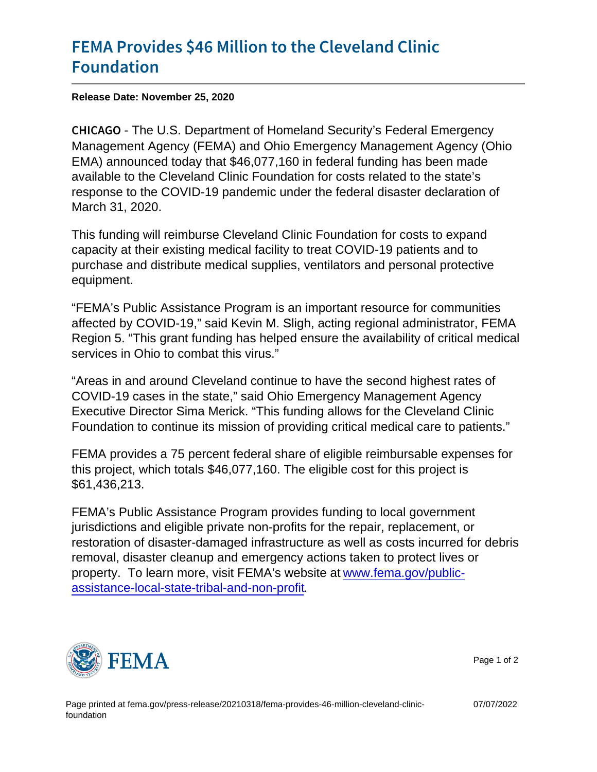## [FEMA Provides \\$46 Million to](https://www.fema.gov/press-release/20210318/fema-provides-46-million-cleveland-clinic-foundation) the Cleveland [Founda](https://www.fema.gov/press-release/20210318/fema-provides-46-million-cleveland-clinic-foundation)tion

Release Date: November 25, 2020

C H I C A GhO U.S. Department of Homeland Security's Federal Emergency Management Agency (FEMA) and Ohio Emergency Management Agency (Ohio EMA) announced today that \$46,077,160 in federal funding has been made available to the Cleveland Clinic Foundation for costs related to the state's response to the COVID-19 pandemic under the federal disaster declaration of March 31, 2020.

This funding will reimburse Cleveland Clinic Foundation for costs to expand capacity at their existing medical facility to treat COVID-19 patients and to purchase and distribute medical supplies, ventilators and personal protective equipment.

"FEMA's Public Assistance Program is an important resource for communities affected by COVID-19," said Kevin M. Sligh, acting regional administrator, FEMA Region 5. "This grant funding has helped ensure the availability of critical medical services in Ohio to combat this virus."

"Areas in and around Cleveland continue to have the second highest rates of COVID-19 cases in the state," said Ohio Emergency Management Agency Executive Director Sima Merick. "This funding allows for the Cleveland Clinic Foundation to continue its mission of providing critical medical care to patients."

FEMA provides a 75 percent federal share of eligible reimbursable expenses for this project, which totals \$46,077,160. The eligible cost for this project is \$61,436,213.

FEMA's Public Assistance Program provides funding to local government jurisdictions and eligible private non-profits for the repair, replacement, or restoration of disaster-damaged infrastructure as well as costs incurred for debris removal, disaster cleanup and emergency actions taken to protect lives or property. To learn more, visit FEMA's website at [www.fema.gov/public](https://u7061146.ct.sendgrid.net/ls/click?upn=TeZUXWpUv-2B6TCY38pVLo9tN3mxTvfG8hFNSgIOiEYnP7XS2bPsmxXK7FBbLjJnwq8nMSEkAOQYN8DOPzCVUo-2ByV-2FVwSbZHJZu5c3TUNxU9s-3DEHav_ikyrQM0swfJ33H1z8KNu3D7ObPd523An7e-2B4CWGkPn8GS3bpk786cCdFFmP-2B2QL8YDCzLeEJdaS4yrzVZP7ohPv0GYEkbMegnXZO3VX4dTWFS3WBNKKWPHkDozaPoYdIYAfRB3SyOLFcXhBzV8xiifK81DuYTl1dp8zmeR9TVRG9-2BMoxWtXkexnbb3CCGzEo-2BdE4LyoTjazck-2BMwRK72Elgev1ydDFiAT09tHcX1NNHv-2BFDi9qSQxV-2BKUi-2FANHQ21nbhXV-2FYucSMKZJKfa-2FACm3E2vFUYSQIkUCqtddgF2XBIM2jwn0ATj8LUe47CFPe3DkgHqi6D3A6-2FU7-2FXVA3h649lFR594lOiHZR3dkulkg-3D)[assistance-local-state-tribal-and-non-profit.](https://u7061146.ct.sendgrid.net/ls/click?upn=TeZUXWpUv-2B6TCY38pVLo9tN3mxTvfG8hFNSgIOiEYnP7XS2bPsmxXK7FBbLjJnwq8nMSEkAOQYN8DOPzCVUo-2ByV-2FVwSbZHJZu5c3TUNxU9s-3DEHav_ikyrQM0swfJ33H1z8KNu3D7ObPd523An7e-2B4CWGkPn8GS3bpk786cCdFFmP-2B2QL8YDCzLeEJdaS4yrzVZP7ohPv0GYEkbMegnXZO3VX4dTWFS3WBNKKWPHkDozaPoYdIYAfRB3SyOLFcXhBzV8xiifK81DuYTl1dp8zmeR9TVRG9-2BMoxWtXkexnbb3CCGzEo-2BdE4LyoTjazck-2BMwRK72Elgev1ydDFiAT09tHcX1NNHv-2BFDi9qSQxV-2BKUi-2FANHQ21nbhXV-2FYucSMKZJKfa-2FACm3E2vFUYSQIkUCqtddgF2XBIM2jwn0ATj8LUe47CFPe3DkgHqi6D3A6-2FU7-2FXVA3h649lFR594lOiHZR3dkulkg-3D)



Page 1 of 2

07/07/2022